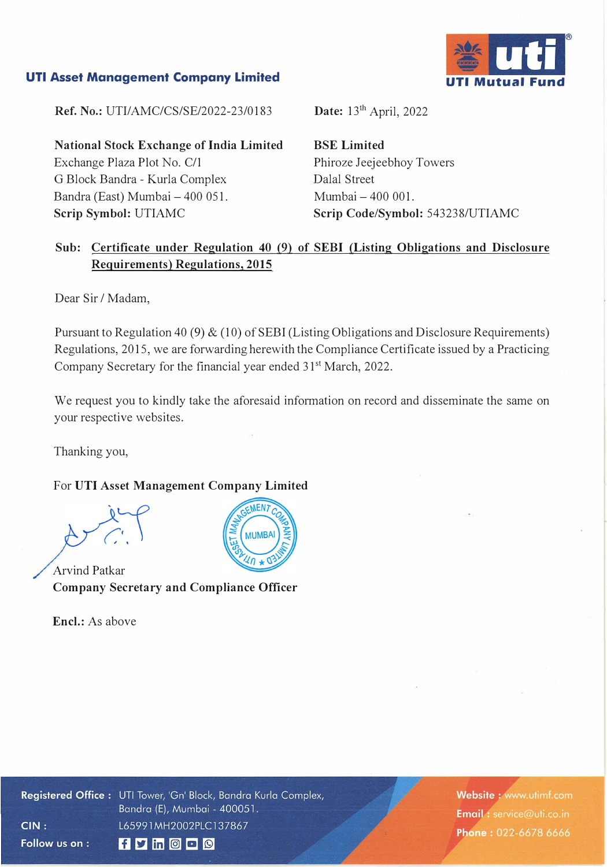# **UTI Asset Management Company Limited**



**Ref. No.:** UTI/AMC/CS/SE/2022-23/0183

**National Stock Exchange of India Limited**  Exchange Plaza Plot No. C/1 G Block Bandra - Kurla Complex Bandra (East) Mumbai - 400 051. **Scrip Symbol:** UTIAMC

Date: 13<sup>th</sup> April, 2022

**BSE Limited**  Phiroze Jeejeebhoy Towers Dalal Street Mumbai - 400 001. **Scrip Code/Symbol:** 543238/UTIAMC

# **Sub: Certificate under Regulation 40 (9) of SEBI (Listing Obligations and Disclosure Requirements) Regulations, 2015**

Dear Sir / Madam,

Pursuant to Regulation 40 (9) & (10) of SEBI (Listing Obligations and Disclosure Requirements) Regulations, 2015, we are forwarding herewith the Compliance Certificate issued by a Practicing Company Secretary for the financial year ended 31<sup>st</sup> March, 2022.

We request you to kindly take the aforesaid information on record and disseminate the same on your respective websites.

Thanking you,

#### For **UTI Asset Management Company Limited**

Arvind Patkar **Company Secretary and Compliance Officer** 

**Encl.:** As above



Registered Office: UTI Tower, 'Gn' Block, Bandra Kurla Complex, Bandra (E), Mumbai - 400051. L65991MH2002PLC137867  $CIN:$ Follow us on :  $f$  y in  $O$   $O$ 

Website: www.utimf.com Email: service@uti.co.in Phone: 022-6678 6666